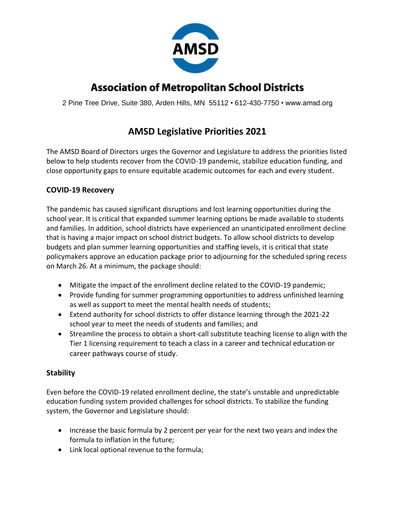

# **Association of Metropolitan School Districts**

2 Pine Tree Drive, Suite 380, Arden Hills, MN 55112 • 612-430-7750 • www.amsd.org

# **AMSD Legislative Priorities 2021**

The AMSD Board of Directors urges the Governor and Legislature to address the priorities listed below to help students recover from the COVID-19 pandemic, stabilize education funding, and close opportunity gaps to ensure equitable academic outcomes for each and every student.

## **COVID-19 Recovery**

The pandemic has caused significant disruptions and lost learning opportunities during the school year. It is critical that expanded summer learning options be made available to students and families. In addition, school districts have experienced an unanticipated enrollment decline that is having a major impact on school district budgets. To allow school districts to develop budgets and plan summer learning opportunities and staffing levels, it is critical that state policymakers approve an education package prior to adjourning for the scheduled spring recess on March 26. At a minimum, the package should:

- Mitigate the impact of the enrollment decline related to the COVID-19 pandemic;
- Provide funding for summer programming opportunities to address unfinished learning as well as support to meet the mental health needs of students;
- Extend authority for school districts to offer distance learning through the 2021-22 school year to meet the needs of students and families; and
- Streamline the process to obtain a short-call substitute teaching license to align with the Tier 1 licensing requirement to teach a class in a career and technical education or career pathways course of study.

# **Stability**

Even before the COVID-19 related enrollment decline, the state's unstable and unpredictable education funding system provided challenges for school districts. To stabilize the funding system, the Governor and Legislature should:

- Increase the basic formula by 2 percent per year for the next two years and index the formula to inflation in the future;
- Link local optional revenue to the formula;